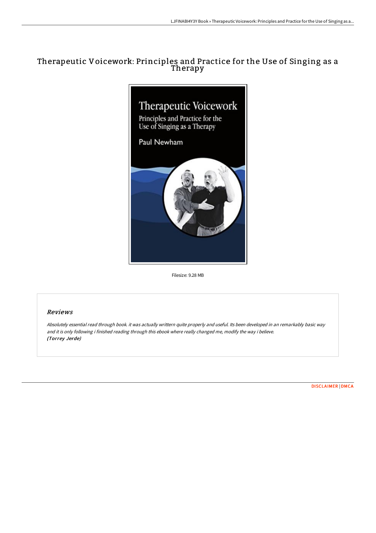## Therapeutic Voicework: Principles and Practice for the Use of Singing as a Therapy



Filesize: 9.28 MB

## Reviews

Absolutely essential read through book. it was actually writtern quite properly and useful. Its been developed in an remarkably basic way and it is only following i finished reading through this ebook where really changed me, modify the way i believe. (Torrey Jerde)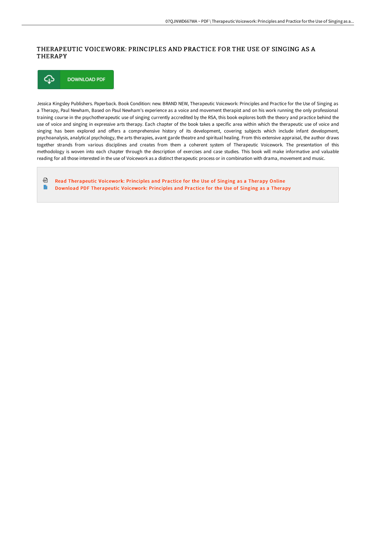## THERAPEUTIC VOICEWORK: PRINCIPLES AND PRACTICE FOR THE USE OF SINGING AS A **THERAPY**



Jessica Kingsley Publishers. Paperback. Book Condition: new. BRAND NEW, Therapeutic Voicework: Principles and Practice for the Use of Singing as a Therapy, Paul Newham, Based on Paul Newham's experience as a voice and movement therapist and on his work running the only professional training course in the psychotherapeutic use of singing currently accredited by the RSA, this book explores both the theory and practice behind the use of voice and singing in expressive arts therapy. Each chapter of the book takes a specific area within which the therapeutic use of voice and singing has been explored and offers a comprehensive history of its development, covering subjects which include infant development, psychoanalysis, analytical psychology, the arts therapies, avant garde theatre and spiritual healing. From this extensive appraisal, the author draws together strands from various disciplines and creates from them a coherent system of Therapeutic Voicework. The presentation of this methodology is woven into each chapter through the description of exercises and case studies. This book will make informative and valuable reading for all those interested in the use of Voicework as a distinct therapeutic process or in combination with drama, movement and music.

⊕ Read [Therapeutic](http://techno-pub.tech/therapeutic-voicework-principles-and-practice-fo.html) Voicework: Principles and Practice for the Use of Singing as a Therapy Online  $\begin{array}{c} \hline \end{array}$ Download PDF [Therapeutic](http://techno-pub.tech/therapeutic-voicework-principles-and-practice-fo.html) Voicework: Principles and Practice for the Use of Singing as a Therapy